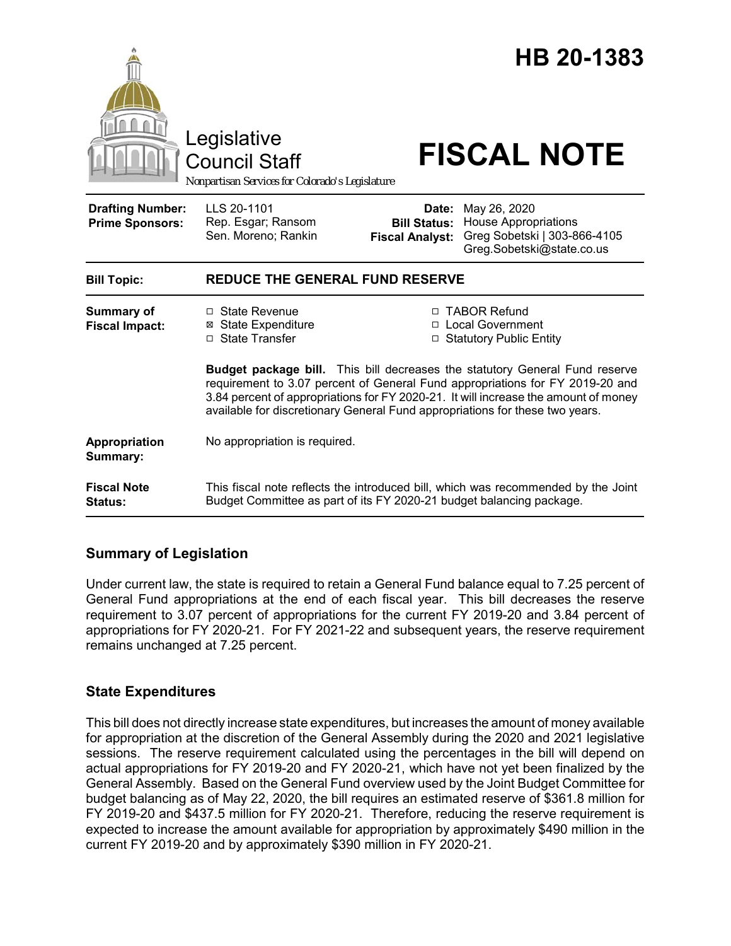

## **Summary of Legislation**

Under current law, the state is required to retain a General Fund balance equal to 7.25 percent of General Fund appropriations at the end of each fiscal year. This bill decreases the reserve requirement to 3.07 percent of appropriations for the current FY 2019-20 and 3.84 percent of appropriations for FY 2020-21. For FY 2021-22 and subsequent years, the reserve requirement remains unchanged at 7.25 percent.

## **State Expenditures**

This bill does not directly increase state expenditures, but increases the amount of money available for appropriation at the discretion of the General Assembly during the 2020 and 2021 legislative sessions. The reserve requirement calculated using the percentages in the bill will depend on actual appropriations for FY 2019-20 and FY 2020-21, which have not yet been finalized by the General Assembly. Based on the General Fund overview used by the Joint Budget Committee for budget balancing as of May 22, 2020, the bill requires an estimated reserve of \$361.8 million for FY 2019-20 and \$437.5 million for FY 2020-21. Therefore, reducing the reserve requirement is expected to increase the amount available for appropriation by approximately \$490 million in the current FY 2019-20 and by approximately \$390 million in FY 2020-21.